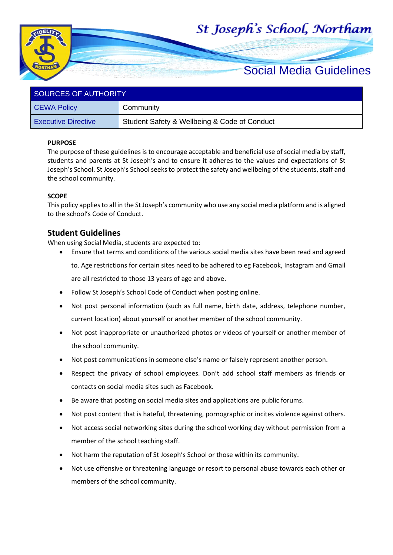# St Joseph's School, Northam



| SOURCES OF AUTHORITY       |                                              |  |
|----------------------------|----------------------------------------------|--|
| <b>CEWA Policy</b>         | Community                                    |  |
| <b>Executive Directive</b> | Student Safety & Wellbeing & Code of Conduct |  |

## **PURPOSE**

The purpose of these guidelines is to encourage acceptable and beneficial use of social media by staff, students and parents at St Joseph's and to ensure it adheres to the values and expectations of St Joseph's School. St Joseph's School seeks to protect the safety and wellbeing of the students, staff and the school community.

## **SCOPE**

This policy applies to all in the St Joseph's community who use any social media platform and is aligned to the school's Code of Conduct.

## **Student Guidelines**

When using Social Media, students are expected to:

• Ensure that terms and conditions of the various social media sites have been read and agreed

to. Age restrictions for certain sites need to be adhered to eg Facebook, Instagram and Gmail are all restricted to those 13 years of age and above.

- Follow St Joseph's School Code of Conduct when posting online.
- Not post personal information (such as full name, birth date, address, telephone number, current location) about yourself or another member of the school community.
- Not post inappropriate or unauthorized photos or videos of yourself or another member of the school community.
- Not post communications in someone else's name or falsely represent another person.
- Respect the privacy of school employees. Don't add school staff members as friends or contacts on social media sites such as Facebook.
- Be aware that posting on social media sites and applications are public forums.
- Not post content that is hateful, threatening, pornographic or incites violence against others.
- Not access social networking sites during the school working day without permission from a member of the school teaching staff.
- Not harm the reputation of St Joseph's School or those within its community.
- Not use offensive or threatening language or resort to personal abuse towards each other or members of the school community.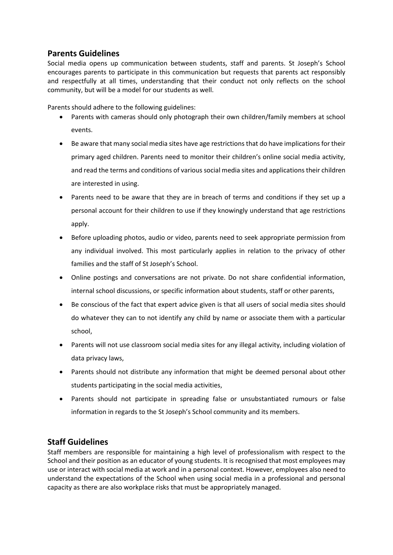# **Parents Guidelines**

Social media opens up communication between students, staff and parents. St Joseph's School encourages parents to participate in this communication but requests that parents act responsibly and respectfully at all times, understanding that their conduct not only reflects on the school community, but will be a model for our students as well.

Parents should adhere to the following guidelines:

- Parents with cameras should only photograph their own children/family members at school events.
- Be aware that many social media sites have age restrictions that do have implications for their primary aged children. Parents need to monitor their children's online social media activity, and read the terms and conditions of various social media sites and applications their children are interested in using.
- Parents need to be aware that they are in breach of terms and conditions if they set up a personal account for their children to use if they knowingly understand that age restrictions apply.
- Before uploading photos, audio or video, parents need to seek appropriate permission from any individual involved. This most particularly applies in relation to the privacy of other families and the staff of St Joseph's School.
- Online postings and conversations are not private. Do not share confidential information, internal school discussions, or specific information about students, staff or other parents,
- Be conscious of the fact that expert advice given is that all users of social media sites should do whatever they can to not identify any child by name or associate them with a particular school,
- Parents will not use classroom social media sites for any illegal activity, including violation of data privacy laws,
- Parents should not distribute any information that might be deemed personal about other students participating in the social media activities,
- Parents should not participate in spreading false or unsubstantiated rumours or false information in regards to the St Joseph's School community and its members.

## **Staff Guidelines**

Staff members are responsible for maintaining a high level of professionalism with respect to the School and their position as an educator of young students. It is recognised that most employees may use or interact with social media at work and in a personal context. However, employees also need to understand the expectations of the School when using social media in a professional and personal capacity as there are also workplace risks that must be appropriately managed.